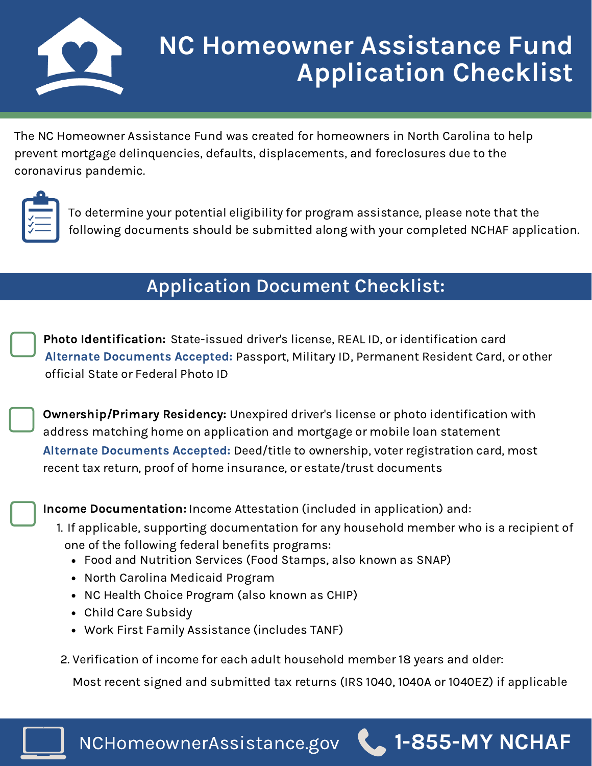

## **NC Homeowner Assistance Fund Application Checklist**

The NC Homeowner Assistance Fund was created for homeowners in North Carolina to help prevent mortgage delinquencies, defaults, displacements, and foreclosures due to the coronavirus pandemic.



To determine your potential eligibility for program assistance, please note that the following documents should be submitted along with your completed NCHAF application.

## **Application Document Checklist:**

Photo Identification: State-issued driver's license, REAL ID, or identification card Alternate Documents Accepted: Passport, Military ID, Permanent Resident Card, or other official State or Federal Photo ID

Ownership/Primary Residency: Unexpired driver's license or photo identification with address matching home on application and mortgage or mobile loan statement Alternate Documents Accepted: Deed/title to ownership, voter registration card, most recent tax return, proof of home insurance, or estate/trust documents

Income Documentation: Income Attestation (included in application) and:

- If applicable, supporting documentation for any household member who is a recipient of 1. one of the following federal benefits programs:
	- Food and Nutrition Services (Food Stamps, also known as SNAP)
	- North Carolina Medicaid Program
	- NC Health Choice Program (also known as CHIP)
	- Child Care Subsidy
	- Work First Family Assistance (includes TANF)
- 2. Verification of income for each adult household member 18 years and older:

Most recent signed and submitted tax returns (IRS 1040, 1040A or 1040EZ) if applicable